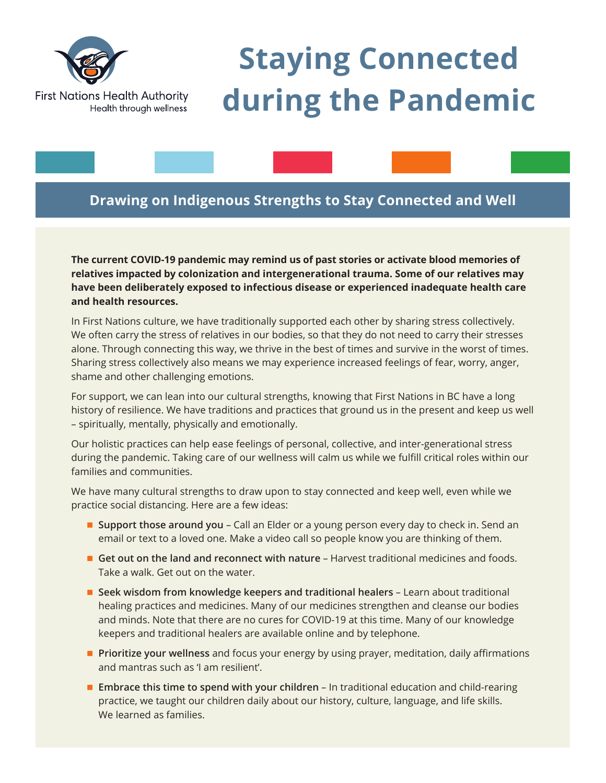

# **Staying Connected during the Pandemic**

# **Drawing on Indigenous Strengths to Stay Connected and Well**

**The current COVID-19 pandemic may remind us of past stories or activate blood memories of relatives impacted by colonization and intergenerational trauma. Some of our relatives may have been deliberately exposed to infectious disease or experienced inadequate health care and health resources.**

In First Nations culture, we have traditionally supported each other by sharing stress collectively. We often carry the stress of relatives in our bodies, so that they do not need to carry their stresses alone. Through connecting this way, we thrive in the best of times and survive in the worst of times. Sharing stress collectively also means we may experience increased feelings of fear, worry, anger, shame and other challenging emotions.

For support, we can lean into our cultural strengths, knowing that First Nations in BC have a long history of resilience. We have traditions and practices that ground us in the present and keep us well – spiritually, mentally, physically and emotionally.

Our holistic practices can help ease feelings of personal, collective, and inter-generational stress during the pandemic. Taking care of our wellness will calm us while we fulfill critical roles within our families and communities.

We have many cultural strengths to draw upon to stay connected and keep well, even while we practice social distancing. Here are a few ideas:

- **Support those around you** Call an Elder or a young person every day to check in. Send an email or text to a loved one. Make a video call so people know you are thinking of them.
- n **Get out on the land and reconnect with nature** Harvest traditional medicines and foods. Take a walk. Get out on the water.
- **E** Seek wisdom from knowledge keepers and traditional healers Learn about traditional healing practices and medicines. Many of our medicines strengthen and cleanse our bodies and minds. Note that there are no cures for COVID-19 at this time. Many of our knowledge keepers and traditional healers are available online and by telephone.
- **Prioritize your wellness** and focus your energy by using prayer, meditation, daily affirmations and mantras such as 'I am resilient'.
- **Embrace this time to spend with your children** In traditional education and child-rearing practice, we taught our children daily about our history, culture, language, and life skills. We learned as families.